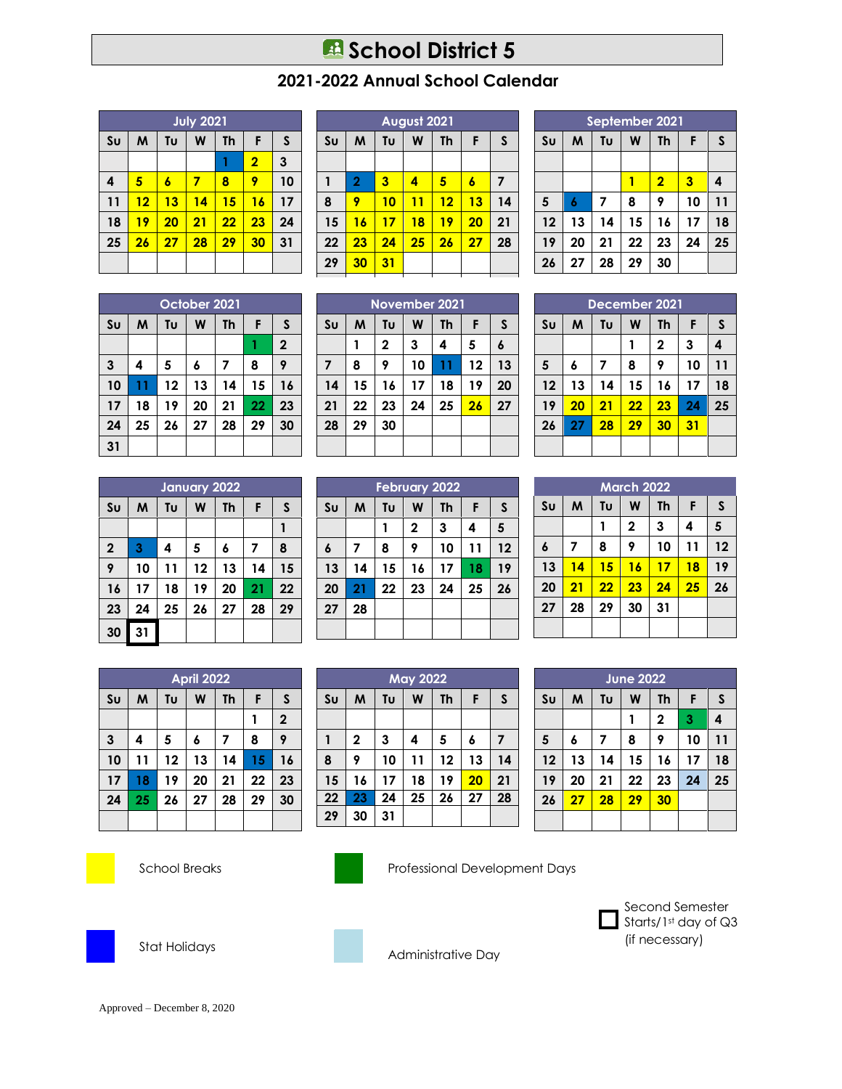## **B** School District 5

## **2021-2022 Annual School Calendar**

|                | <b>July 2021</b>             |    |    |    |                |    |  |
|----------------|------------------------------|----|----|----|----------------|----|--|
| S <sub>U</sub> | Tu<br>M<br>W<br>F<br>Th<br>S |    |    |    |                |    |  |
|                |                              |    |    |    | $\overline{2}$ | 3  |  |
| 4              | 5                            | 6  | 7  | 8  | 9              | 10 |  |
| 11             | 12                           | 13 | 14 | 15 | 16             | 17 |  |
| 18             | 19                           | 20 | 21 | 22 | 23             | 24 |  |
| 25             | 26                           | 27 | 28 | 29 | 30             | 31 |  |
|                |                              |    |    |    |                |    |  |

| August 2021             |    |    |           |    |    |  |
|-------------------------|----|----|-----------|----|----|--|
| M                       | Tu | W  | <b>Th</b> | F  | S  |  |
|                         |    |    |           |    |    |  |
| $\overline{\mathbf{2}}$ | 3  | 4  | 5         | 6  | 7  |  |
| 9                       | 10 | 11 | 12        | 13 | 14 |  |
| 16                      | 17 | 18 | 19        | 20 | 21 |  |
| 23                      | 24 | 25 | 26        | 27 | 28 |  |
| 30                      | 31 |    |           |    |    |  |
|                         |    |    |           |    |    |  |

**November 2021**  $\text{SU}$   $\mid$  M  $\mid$  Tu  $\mid$  W  $\mid$  Th  $\mid$  F  $\mid$  S **2 3 4 5 6 8 9 10 11 12 13 15 16 17 18 19 20 22 23 24 25 26 27**

| September 2021 |    |    |              |                |    |    |  |
|----------------|----|----|--------------|----------------|----|----|--|
| S <sub>U</sub> | M  | F  | $\mathsf{s}$ |                |    |    |  |
|                |    |    |              |                |    |    |  |
|                |    |    |              | $\overline{2}$ | 3  | 4  |  |
| 5              | 6  | 7  | 8            | 9              | 10 | 11 |  |
| 12             | 13 | 14 | 15           | 16             | 17 | 18 |  |
| 19             | 20 | 21 | 22           | 23             | 24 | 25 |  |
| 26             | 27 | 28 | 29           | 30             |    |    |  |

|                        | October 2021 |    |    |    |    |              |  |
|------------------------|--------------|----|----|----|----|--------------|--|
| $\mathsf{S}\mathsf{U}$ | M            | F  | S  |    |    |              |  |
|                        |              |    |    |    |    | $\mathbf{2}$ |  |
| 3                      | 4            | 5  | 6  | 7  | 8  | 9            |  |
| 10                     | 11           | 12 | 13 | 14 | 15 | 16           |  |
| 17                     | 18           | 19 | 20 | 21 | 22 | 23           |  |
| 24                     | 25           | 26 | 27 | 28 | 29 | 30           |  |
| 31                     |              |    |    |    |    |              |  |

|                         | January 2022 |    |    |           |    |    |  |  |
|-------------------------|--------------|----|----|-----------|----|----|--|--|
| S <sub>U</sub>          | M            | Tυ | W  | <b>Th</b> | F  | S  |  |  |
|                         |              |    |    |           |    |    |  |  |
| $\overline{\mathbf{2}}$ | 3            | 4  | 5  | 6         | 7  | 8  |  |  |
| 9                       | 10           | 11 | 12 | 13        | 14 | 15 |  |  |
| 16                      | 17           | 18 | 19 | 20        | 21 | 22 |  |  |
| 23                      | 24           | 25 | 26 | 27        | 28 | 29 |  |  |
| 30                      | 31           |    |    |           |    |    |  |  |

|                         |                |    |    | <b>February 2022</b> |           |    |    |
|-------------------------|----------------|----|----|----------------------|-----------|----|----|
|                         | S <sub>U</sub> | M  | Tu | W                    | <b>Th</b> | F  | S  |
|                         |                |    |    | $\mathbf{2}$         | 3         | 4  | 5  |
|                         | 6              | 7  | 8  | 9                    | 10        | 11 | 12 |
| 5                       | 13             | 14 | 15 | 16                   | 17        | 18 | 19 |
| $\overline{\mathbf{c}}$ | 20             | 21 | 22 | 23                   | 24        | 25 | 26 |
| 9                       | 27             | 28 |    |                      |           |    |    |
|                         |                |    |    |                      |           |    |    |
|                         |                |    |    |                      |           |    |    |

**May 2022**  $\mathbf{S} \cup \mathbf{M}$   $\mathbf{W}$   $\mathbf{V}$   $\mathbf{W}$   $\mathbf{V}$   $\mathbf{V}$   $\mathbf{F}$   $\mathbf{S}$ 

 **2 3 4 5 6 7 9 10 11 12 13 14 16 17 18 19 20 21 23 24 25 26 27 28**

**29 30**

| <b>April 2022</b>       |    |    |    |           |    |                |  |
|-------------------------|----|----|----|-----------|----|----------------|--|
| $\mathsf{S}\mathsf{U}$  | M  | Tυ | W  | <b>Th</b> | F  | $\mathsf{s}$   |  |
|                         |    |    |    |           |    | $\overline{2}$ |  |
| $\overline{\mathbf{3}}$ | 4  | 5  | 6  | 7         | 8  | 9              |  |
| 10                      | 11 | 12 | 13 | 14        | 15 | 16             |  |
| 17                      | 18 | 19 | 20 | 21        | 22 | 23             |  |
| 24                      | 25 | 26 | 27 | 28        | 29 | 30             |  |
|                         |    |    |    |           |    |                |  |



**30 31**

School Breaks Professional Development Days



Stat Holidays



Administrative Day

| 14             | IJ | 14 | IJ            | ı o         | $\blacksquare$ | ıo |
|----------------|----|----|---------------|-------------|----------------|----|
| 19             | 20 | 21 | 22            | 23          | 24             | 25 |
| 26             | 27 | 28 | 29            | 30          |                |    |
|                |    |    |               |             |                |    |
|                |    |    | December 2021 |             |                |    |
| S <sub>U</sub> | M  | Tυ | W             | <b>Th</b>   | F              | S  |
|                |    |    | 1             | $\mathbf 2$ | 3              | 4  |
| 5              | 6  | 7  | 8             | 9           | 10             | 11 |
| 12             | 13 | 14 | 15            | 16          | 17             | 18 |
| 19             | 20 | 21 | 22            | 23          | 24             | 25 |
| 26             | 27 | 28 | 29            | 30          | 31             |    |
|                |    |    |               |             |                |    |

| <b>March 2022</b> |    |    |             |           |    |              |  |  |
|-------------------|----|----|-------------|-----------|----|--------------|--|--|
| S <sub>U</sub>    | M  | Tυ | W           | <b>Th</b> | F  | $\mathsf{s}$ |  |  |
|                   |    |    | $\mathbf 2$ | 3         | 4  | 5            |  |  |
| $\boldsymbol{6}$  | 7  | 8  | 9           | 10        | 11 | 12           |  |  |
| 13                | 14 | 15 | 16          | 17        | 18 | 19           |  |  |
| 20                | 21 | 22 | 23          | 24        | 25 | 26           |  |  |
| 27                | 28 | 29 | 30          | 31        |    |              |  |  |
|                   |    |    |             |           |    |              |  |  |

| <b>June 2022</b> |    |    |    |           |    |    |  |
|------------------|----|----|----|-----------|----|----|--|
| S <sub>U</sub>   | M  | Tυ | W  | <b>Th</b> | F  | S  |  |
|                  |    |    |    | 2         | 3  | 4  |  |
| 5                | 6  | 7  | 8  | 9         | 10 | 11 |  |
| 12               | 13 | 14 | 15 | 16        | 17 | 18 |  |
| 19               | 20 | 21 | 22 | 23        | 24 | 25 |  |
| 26               | 27 | 28 | 29 | 30        |    |    |  |
|                  |    |    |    |           |    |    |  |

 Second Semester Starts/1st day of Q3 (if necessary)

Approved – December 8, 2020